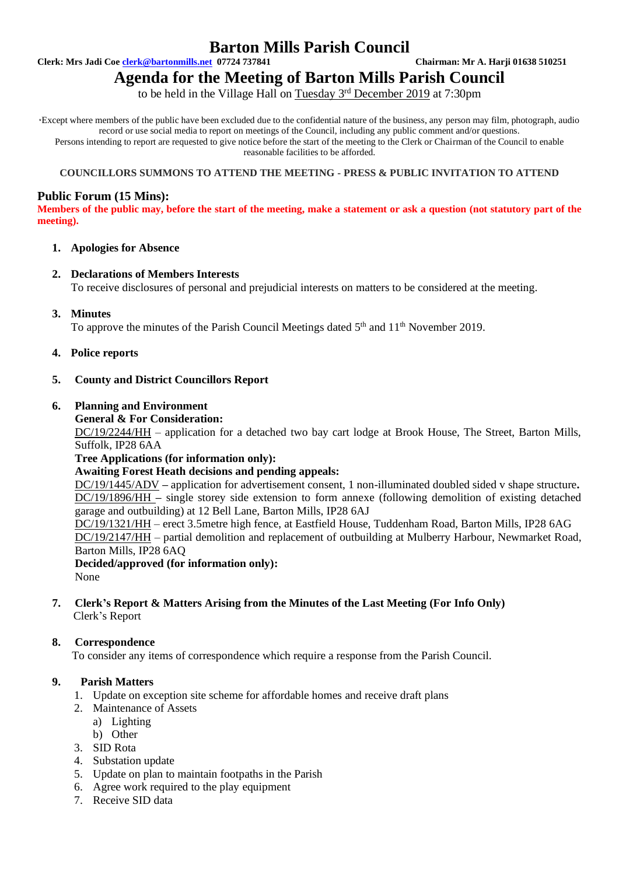### **Barton Mills Parish Council**

**Clerk: Mrs Jadi Coe [clerk@bartonmills.net](mailto:clerk@bartonmills.net) 07724 737841 Chairman: Mr A. Harji 01638 510251**

# **Agenda for the Meeting of Barton Mills Parish Council**

to be held in the Village Hall on Tuesday 3<sup>rd</sup> December 2019 at 7:30pm

\*Except where members of the public have been excluded due to the confidential nature of the business, any person may film, photograph, audio record or use social media to report on meetings of the Council, including any public comment and/or questions. Persons intending to report are requested to give notice before the start of the meeting to the Clerk or Chairman of the Council to enable reasonable facilities to be afforded.

#### **COUNCILLORS SUMMONS TO ATTEND THE MEETING - PRESS & PUBLIC INVITATION TO ATTEND**

#### **Public Forum (15 Mins):**

**Members of the public may, before the start of the meeting, make a statement or ask a question (not statutory part of the meeting).**

#### **1. Apologies for Absence**

#### **2. Declarations of Members Interests**

To receive disclosures of personal and prejudicial interests on matters to be considered at the meeting.

#### **3. Minutes**

To approve the minutes of the Parish Council Meetings dated  $5<sup>th</sup>$  and  $11<sup>th</sup>$  November 2019.

#### **4. Police reports**

#### **5. County and District Councillors Report**

#### **6. Planning and Environment**

**General & For Consideration:**

DC/19/2244/HH – application for a detached two bay cart lodge at Brook House, The Street, Barton Mills, Suffolk, IP28 6AA

**Tree Applications (for information only):**

#### **Awaiting Forest Heath decisions and pending appeals:**

DC/19/1445/ADV **–** application for advertisement consent, 1 non-illuminated doubled sided v shape structure**.** DC/19/1896/HH **–** single storey side extension to form annexe (following demolition of existing detached garage and outbuilding) at 12 Bell Lane, Barton Mills, IP28 6AJ

DC/19/1321/HH – erect 3.5metre high fence, at Eastfield House, Tuddenham Road, Barton Mills, IP28 6AG DC/19/2147/HH – partial demolition and replacement of outbuilding at Mulberry Harbour, Newmarket Road, Barton Mills, IP28 6AQ

**Decided/approved (for information only):**

None

#### **7. Clerk's Report & Matters Arising from the Minutes of the Last Meeting (For Info Only)** Clerk's Report

#### **8. Correspondence**

To consider any items of correspondence which require a response from the Parish Council.

#### **9. Parish Matters**

- 1. Update on exception site scheme for affordable homes and receive draft plans
- 2. Maintenance of Assets
- a) Lighting b) Other
- 3. SID Rota
- 4. Substation update
- 5. Update on plan to maintain footpaths in the Parish
- 6. Agree work required to the play equipment
- 7. Receive SID data